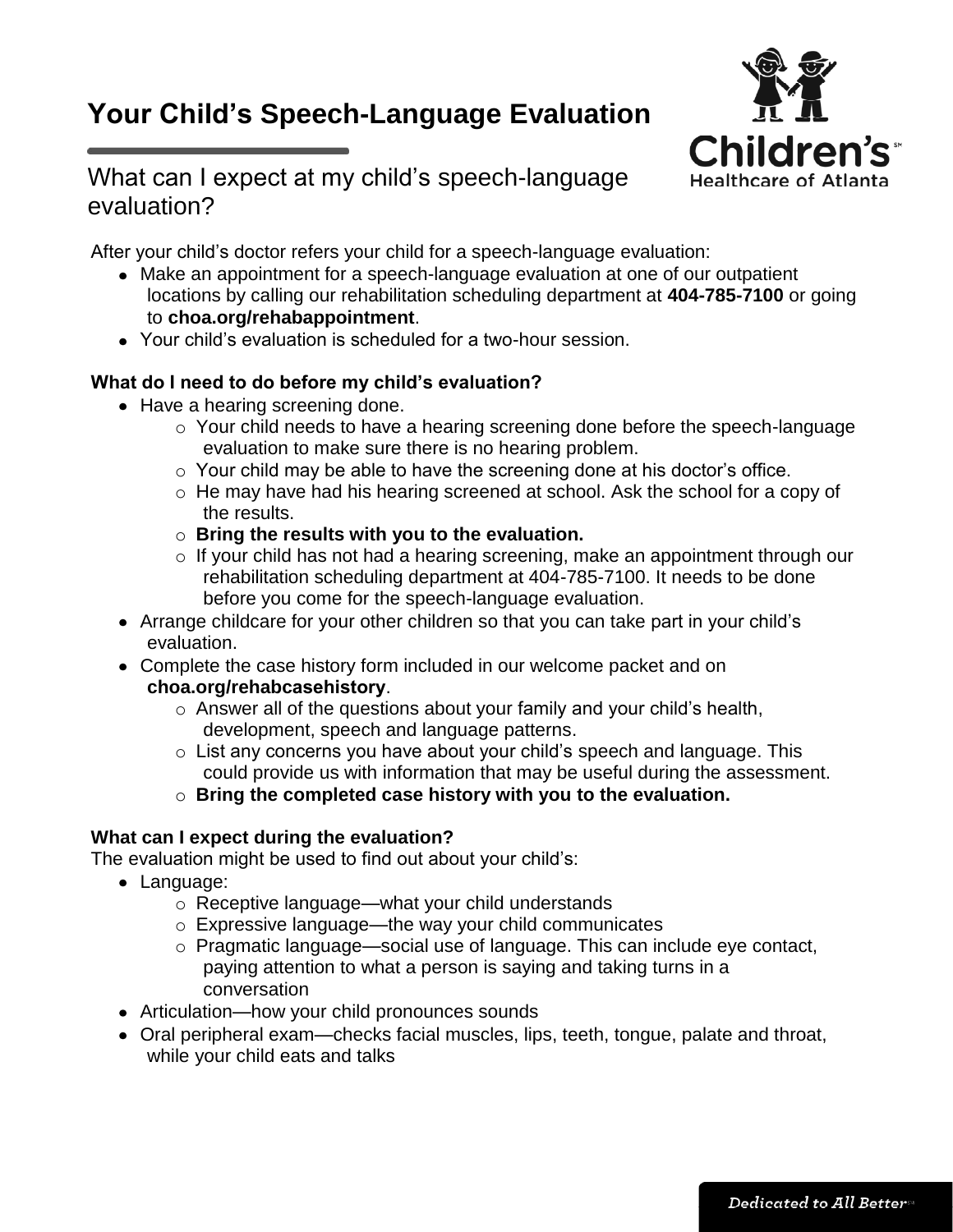# **Your Child's Speech-Language Evaluation**



# What can I expect at my child's speech-language evaluation?

After your child's doctor refers your child for a speech-language evaluation:

- Make an appointment for a speech-language evaluation at one of our outpatient locations by calling our rehabilitation scheduling department at **404-785-7100** or going to **choa.org/rehabappointment**.
- Your child's evaluation is scheduled for a two-hour session.

## **What do I need to do before my child's evaluation?**

- Have a hearing screening done.
	- o Your child needs to have a hearing screening done before the speech-language evaluation to make sure there is no hearing problem.
	- o Your child may be able to have the screening done at his doctor's office.
	- o He may have had his hearing screened at school. Ask the school for a copy of the results.
	- o **Bring the results with you to the evaluation.**
	- o If your child has not had a hearing screening, make an appointment through our rehabilitation scheduling department at 404-785-7100. It needs to be done before you come for the speech-language evaluation.
- Arrange childcare for your other children so that you can take part in your child's evaluation.
- Complete the case history form included in our welcome packet and on **choa.org/rehabcasehistory**.
	- o Answer all of the questions about your family and your child's health, development, speech and language patterns.
	- o List any concerns you have about your child's speech and language. This could provide us with information that may be useful during the assessment.
	- o **Bring the completed case history with you to the evaluation.**

### **What can I expect during the evaluation?**

The evaluation might be used to find out about your child's:

- Language:
	- o Receptive language—what your child understands
	- o Expressive language—the way your child communicates
	- o Pragmatic language—social use of language. This can include eye contact, paying attention to what a person is saying and taking turns in a conversation
- Articulation—how your child pronounces sounds
- Oral peripheral exam—checks facial muscles, lips, teeth, tongue, palate and throat, while your child eats and talks